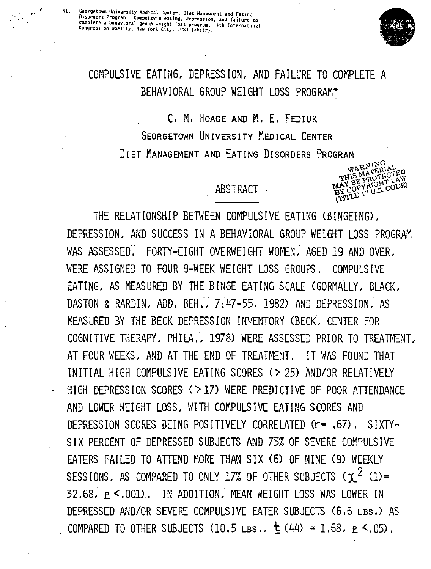$CODE$ 

WAR)

## COMPULSIVE EATING, DEPRESSION, AND FAILURE TO COMPLETE A BEHAVIORAL GROUP WEIGHT LOSS PROGRAM\*

41. Georgetown University **Medical** Center; Diet Managment and Eating Disorders Program. **Compulsvie** eating, **depression, and failure to** complete a behavioral group weight loss program. 4th Internatinal

Congress on Obesity, New York City; 1983 (abstr).

C. M. HOAGE AND M. E. FEDIUK GEORGETOWN UNIVERSITY MEDICAL CENTER DIET MANAGEMENT AND EATING DISORDERS PROGRAM

## $\frac{M_{\odot}}{B X C O P Y1}$

THE RELATIONSHIP BETWEEN COMPULSIVE EATING (BINGEING), DEPRESSION, AND SUCCESS IN A BEHAVIORAL GROUP WEIGHT LOSS PROGRAM WAS ASSESSED. FORTY-EIGHT OVERWEIGHT WOMEN, AGED 19 AND OVER, WERE ASSIGNED TO FOUR 9-WEEK WEIGHT LOSS GROUPS, COMPULSIVE EATING, AS MEASURED BY THE BINGE EATING SCALE (GORMALLY, BLACK, DASTON & RARDIN, ADD. BEH., 7:47-55, 1982) AND DEPRESSION, AS MEASURED BY THE BECK DEPRESSION INVENTORY (BECK, CENTER FOR COGNITIVE THERAPY, PHILA., 1978) WERE ASSESSED PRIOR TO TREATMENT, AT FOUR WEEKS, AND AT THE END OF TREATMENT. IT WAS FOUND THAT INITIAL HIGH COMPULSIVE EATING SCORES (> 25) AND/OR RELATIVELY HIGH DEPRESSION SCORES  $($   $>$  17) WERE PREDICTIVE OF POOR ATTENDANCE AND LOWER WEIGHT LOSS, WITH COMPULSIVE EATING SCORES AND DEPRESSION SCORES BEING POSITIVELY CORRELATED (r= .67). SIXTY-SIX PERCENT OF DEPRESSED SUBJECTS AND 75% OF SEVERE COMPULSIVE EATERS FAILED TO ATTEND MORE THAN SIX (6) OF NINE (9) WEEKLY SESSIONS, AS COMPARED TO ONLY 17% OF OTHER SUBJECTS ( $\chi^2$  (1)= 32.68, P <.001). IN ADDITION, MEAN WEIGHT LOSS WAS LOWER IN DEPRESSED AND/OR SEVERE COMPULSIVE EATER SUBJECTS (6.6 LBS.) AS COMPARED TO OTHER SUBJECTS (10.5 LBS.,  $\pm$  (44) = 1.68,  $\pm$  <.05).